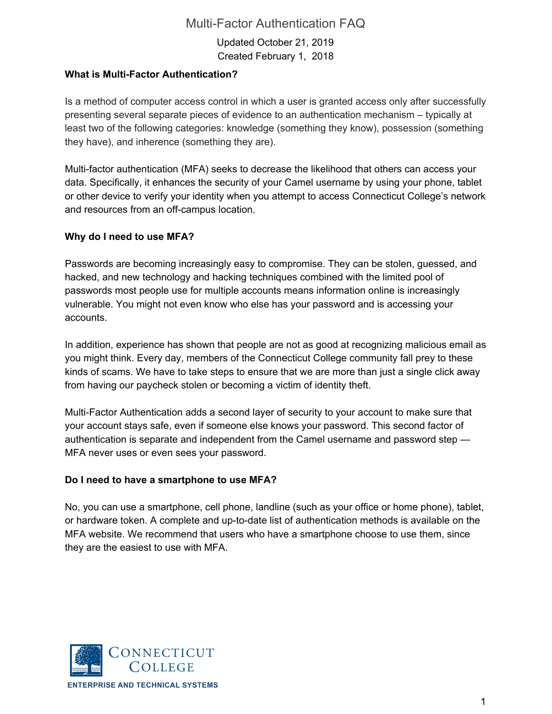Updated October 21, 2019 Created February 1, 2018

# **What is Multi-Factor Authentication?**

Is a method of computer access control in which a user is granted access only after successfully presenting several separate pieces of evidence to an authentication mechanism – typically at least two of the following categories: knowledge (something they know), possession (something they have), and inherence (something they are).

Multi-factor authentication (MFA) seeks to decrease the likelihood that others can access your data. Specifically, it enhances the security of your Camel username by using your phone, tablet or other device to verify your identity when you attempt to access Connecticut College's network and resources from an off-campus location.

#### **Why do I need to use MFA?**

Passwords are becoming increasingly easy to compromise. They can be stolen, guessed, and hacked, and new technology and hacking techniques combined with the limited pool of passwords most people use for multiple accounts means information online is increasingly vulnerable. You might not even know who else has your password and is accessing your accounts.

In addition, experience has shown that people are not as good at recognizing malicious email as you might think. Every day, members of the Connecticut College community fall prey to these kinds of scams. We have to take steps to ensure that we are more than just a single click away from having our paycheck stolen or becoming a victim of identity theft.

Multi-Factor Authentication adds a second layer of security to your account to make sure that your account stays safe, even if someone else knows your password. This second factor of authentication is separate and independent from the Camel username and password step — MFA never uses or even sees your password.

#### **Do I need to have a smartphone to use MFA?**

No, you can use a smartphone, cell phone, landline (such as your office or home phone), tablet, or hardware token. A complete and up-to-date list of authentication methods is available on the MFA website. We recommend that users who have a smartphone choose to use them, since they are the easiest to use with MFA.

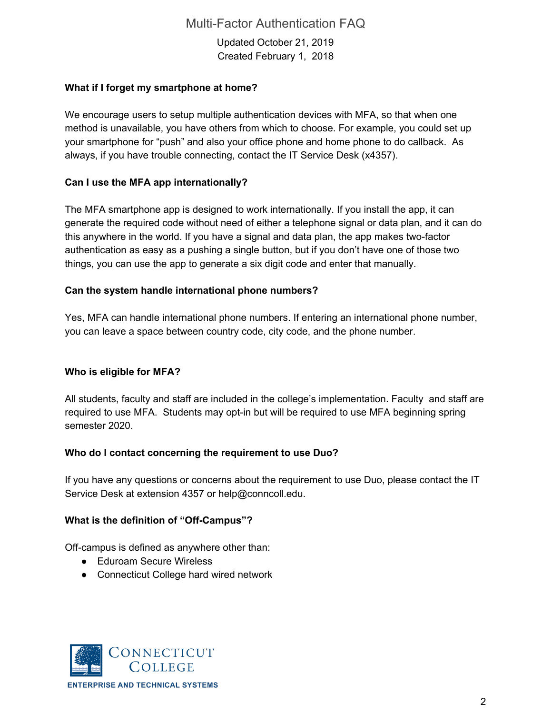Updated October 21, 2019 Created February 1, 2018

### **What if I forget my smartphone at home?**

We encourage users to setup multiple authentication devices with MFA, so that when one method is unavailable, you have others from which to choose. For example, you could set up your smartphone for "push" and also your office phone and home phone to do callback. As always, if you have trouble connecting, contact the IT Service Desk (x4357).

# **Can I use the MFA app internationally?**

The MFA smartphone app is designed to work internationally. If you install the app, it can generate the required code without need of either a telephone signal or data plan, and it can do this anywhere in the world. If you have a signal and data plan, the app makes two-factor authentication as easy as a pushing a single button, but if you don't have one of those two things, you can use the app to generate a six digit code and enter that manually.

#### **Can the system handle international phone numbers?**

Yes, MFA can handle international phone numbers. If entering an international phone number, you can leave a space between country code, city code, and the phone number.

# **Who is eligible for MFA?**

All students, faculty and staff are included in the college's implementation. Faculty and staff are required to use MFA. Students may opt-in but will be required to use MFA beginning spring semester 2020.

# **Who do I contact concerning the requirement to use Duo?**

If you have any questions or concerns about the requirement to use Duo, please contact the IT Service Desk at extension 4357 or help@conncoll.edu.

#### **What is the definition of "Off-Campus"?**

Off-campus is defined as anywhere other than:

- Eduroam Secure Wireless
- Connecticut College hard wired network

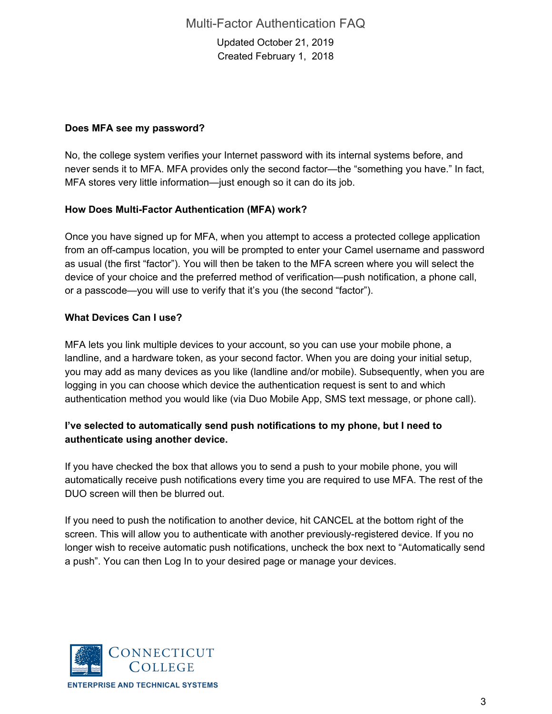Updated October 21, 2019 Created February 1, 2018

### **Does MFA see my password?**

No, the college system verifies your Internet password with its internal systems before, and never sends it to MFA. MFA provides only the second factor—the "something you have." In fact, MFA stores very little information—just enough so it can do its job.

#### **How Does Multi-Factor Authentication (MFA) work?**

Once you have signed up for MFA, when you attempt to access a protected college application from an off-campus location, you will be prompted to enter your Camel username and password as usual (the first "factor"). You will then be taken to the MFA screen where you will select the device of your choice and the preferred method of verification—push notification, a phone call, or a passcode—you will use to verify that it's you (the second "factor").

#### **What Devices Can I use?**

MFA lets you link multiple devices to your account, so you can use your mobile phone, a landline, and a hardware token, as your second factor. When you are doing your initial setup, you may add as many devices as you like (landline and/or mobile). Subsequently, when you are logging in you can choose which device the authentication request is sent to and which authentication method you would like (via Duo Mobile App, SMS text message, or phone call).

# **I've selected to automatically send push notifications to my phone, but I need to authenticate using another device.**

If you have checked the box that allows you to send a push to your mobile phone, you will automatically receive push notifications every time you are required to use MFA. The rest of the DUO screen will then be blurred out.

If you need to push the notification to another device, hit CANCEL at the bottom right of the screen. This will allow you to authenticate with another previously-registered device. If you no longer wish to receive automatic push notifications, uncheck the box next to "Automatically send a push". You can then Log In to your desired page or manage your devices.

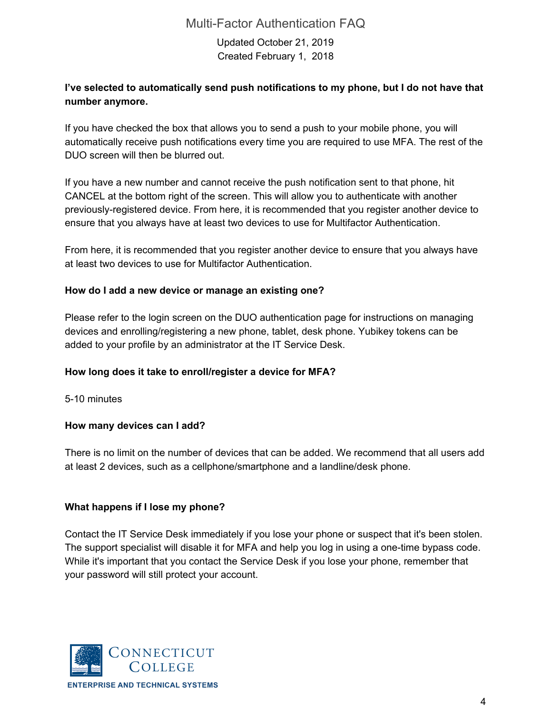Updated October 21, 2019 Created February 1, 2018

# **I've selected to automatically send push notifications to my phone, but I do not have that number anymore.**

If you have checked the box that allows you to send a push to your mobile phone, you will automatically receive push notifications every time you are required to use MFA. The rest of the DUO screen will then be blurred out.

If you have a new number and cannot receive the push notification sent to that phone, hit CANCEL at the bottom right of the screen. This will allow you to authenticate with another previously-registered device. From here, it is recommended that you register another device to ensure that you always have at least two devices to use for Multifactor Authentication.

From here, it is recommended that you register another device to ensure that you always have at least two devices to use for Multifactor Authentication.

#### **How do I add a new device or manage an existing one?**

Please refer to the login screen on the DUO authentication page for instructions on managing devices and enrolling/registering a new phone, tablet, desk phone. Yubikey tokens can be added to your profile by an administrator at the IT Service Desk.

# **How long does it take to enroll/register a device for MFA?**

5-10 minutes

# **How many devices can I add?**

There is no limit on the number of devices that can be added. We recommend that all users add at least 2 devices, such as a cellphone/smartphone and a landline/desk phone.

#### **What happens if I lose my phone?**

Contact the IT Service Desk immediately if you lose your phone or suspect that it's been stolen. The support specialist will disable it for MFA and help you log in using a one-time bypass code. While it's important that you contact the Service Desk if you lose your phone, remember that your password will still protect your account.

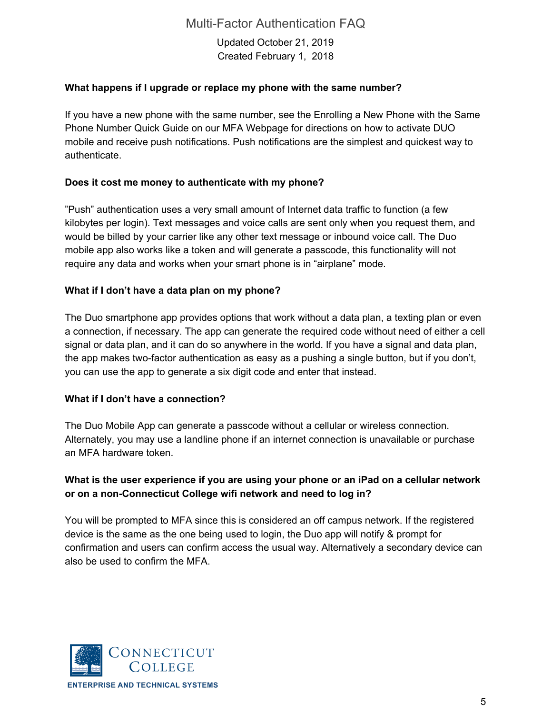Updated October 21, 2019 Created February 1, 2018

# **What happens if I upgrade or replace my phone with the same number?**

If you have a new phone with the same number, see the Enrolling a New Phone with the Same Phone Number Quick Guide on our MFA Webpage for directions on how to activate DUO mobile and receive push notifications. Push notifications are the simplest and quickest way to authenticate.

# **Does it cost me money to authenticate with my phone?**

"Push" authentication uses a very small amount of Internet data traffic to function (a few kilobytes per login). Text messages and voice calls are sent only when you request them, and would be billed by your carrier like any other text message or inbound voice call. The Duo mobile app also works like a token and will generate a passcode, this functionality will not require any data and works when your smart phone is in "airplane" mode.

# **What if I don't have a data plan on my phone?**

The Duo smartphone app provides options that work without a data plan, a texting plan or even a connection, if necessary. The app can generate the required code without need of either a cell signal or data plan, and it can do so anywhere in the world. If you have a signal and data plan, the app makes two-factor authentication as easy as a pushing a single button, but if you don't, you can use the app to generate a six digit code and enter that instead.

#### **What if I don't have a connection?**

The Duo Mobile App can generate a passcode without a cellular or wireless connection. Alternately, you may use a landline phone if an internet connection is unavailable or purchase an MFA hardware token.

# **What is the user experience if you are using your phone or an iPad on a cellular network or on a non-Connecticut College wifi network and need to log in?**

You will be prompted to MFA since this is considered an off campus network. If the registered device is the same as the one being used to login, the Duo app will notify & prompt for confirmation and users can confirm access the usual way. Alternatively a secondary device can also be used to confirm the MFA.